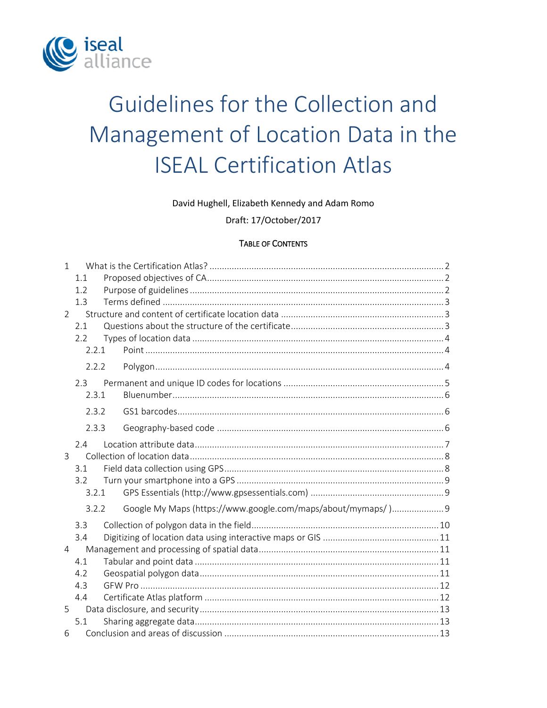

# Guidelines for the Collection and Management of Location Data in the **ISEAL Certification Atlas**

#### David Hughell, Elizabeth Kennedy and Adam Romo

Draft: 17/October/2017

#### **TABLE OF CONTENTS**

| $\mathbf{1}$  |       |                                                             |  |
|---------------|-------|-------------------------------------------------------------|--|
|               | 1.1   |                                                             |  |
|               | 1.2   |                                                             |  |
|               | 1.3   |                                                             |  |
| $\mathcal{P}$ |       |                                                             |  |
|               | 2.1   |                                                             |  |
|               | 2.2   |                                                             |  |
|               | 2.2.1 |                                                             |  |
|               | 2.2.2 |                                                             |  |
|               | 2.3   |                                                             |  |
|               | 2.3.1 |                                                             |  |
|               | 2.3.2 |                                                             |  |
|               | 2.3.3 |                                                             |  |
|               | 2.4   |                                                             |  |
| 3             |       |                                                             |  |
|               | 3.1   |                                                             |  |
|               | 3.2   |                                                             |  |
|               | 3.2.1 |                                                             |  |
|               | 3.2.2 | Google My Maps (https://www.google.com/maps/about/mymaps/)9 |  |
|               | 3.3   |                                                             |  |
|               | 3.4   |                                                             |  |
| 4             |       |                                                             |  |
|               | 4.1   |                                                             |  |
|               | 4.2   |                                                             |  |
|               | 4.3   |                                                             |  |
|               | 4.4   |                                                             |  |
| 5             |       |                                                             |  |
|               | 5.1   |                                                             |  |
| 6             |       |                                                             |  |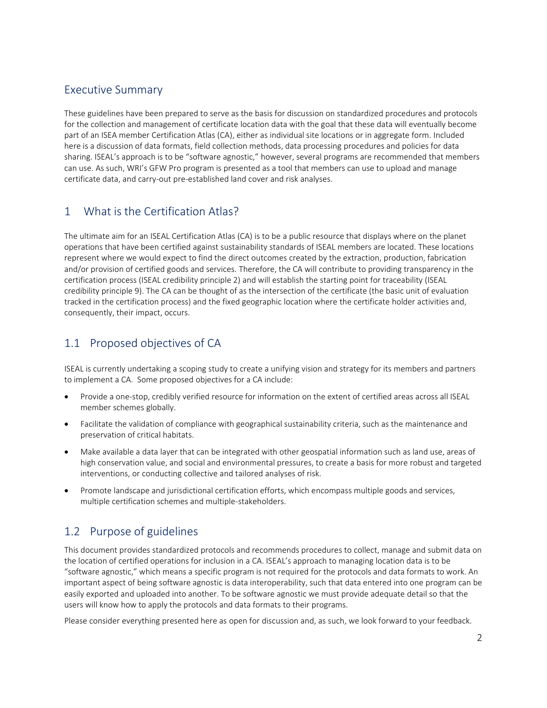## Executive Summary

These guidelines have been prepared to serve as the basis for discussion on standardized procedures and protocols for the collection and management of certificate location data with the goal that these data will eventually become part of an ISEA member Certification Atlas (CA), either as individual site locations or in aggregate form. Included here is a discussion of data formats, field collection methods, data processing procedures and policies for data sharing. ISEAL's approach is to be "software agnostic," however, several programs are recommended that members can use. As such, WRI's GFW Pro program is presented as a tool that members can use to upload and manage certificate data, and carry-out pre-established land cover and risk analyses.

## <span id="page-1-0"></span>1 What is the Certification Atlas?

The ultimate aim for an ISEAL Certification Atlas (CA) is to be a public resource that displays where on the planet operations that have been certified against sustainability standards of ISEAL members are located. These locations represent where we would expect to find the direct outcomes created by the extraction, production, fabrication and/or provision of certified goods and services. Therefore, the CA will contribute to providing transparency in the certification process (ISEAL credibility principle 2) and will establish the starting point for traceability (ISEAL credibility principle 9). The CA can be thought of as the intersection of the certificate (the basic unit of evaluation tracked in the certification process) and the fixed geographic location where the certificate holder activities and, consequently, their impact, occurs.

# <span id="page-1-1"></span>1.1 Proposed objectives of CA

ISEAL is currently undertaking a scoping study to create a unifying vision and strategy for its members and partners to implement a CA. Some proposed objectives for a CA include:

- Provide a one-stop, credibly verified resource for information on the extent of certified areas across all ISEAL member schemes globally.
- Facilitate the validation of compliance with geographical sustainability criteria, such as the maintenance and preservation of critical habitats.
- Make available a data layer that can be integrated with other geospatial information such as land use, areas of high conservation value, and social and environmental pressures, to create a basis for more robust and targeted interventions, or conducting collective and tailored analyses of risk.
- Promote landscape and jurisdictional certification efforts, which encompass multiple goods and services, multiple certification schemes and multiple-stakeholders.

# <span id="page-1-2"></span>1.2 Purpose of guidelines

This document provides standardized protocols and recommends procedures to collect, manage and submit data on the location of certified operations for inclusion in a CA. ISEAL's approach to managing location data is to be "software agnostic," which means a specific program is not required for the protocols and data formats to work. An important aspect of being software agnostic is data interoperability, such that data entered into one program can be easily exported and uploaded into another. To be software agnostic we must provide adequate detail so that the users will know how to apply the protocols and data formats to their programs.

Please consider everything presented here as open for discussion and, as such, we look forward to your feedback.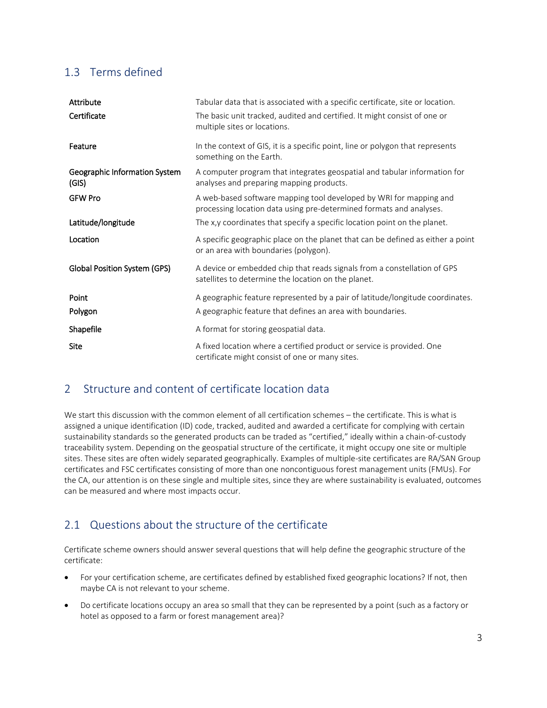# <span id="page-2-0"></span>1.3 Terms defined

| Attribute                              | Tabular data that is associated with a specific certificate, site or location.                                                            |
|----------------------------------------|-------------------------------------------------------------------------------------------------------------------------------------------|
| Certificate                            | The basic unit tracked, audited and certified. It might consist of one or<br>multiple sites or locations.                                 |
| Feature                                | In the context of GIS, it is a specific point, line or polygon that represents<br>something on the Earth.                                 |
| Geographic Information System<br>(GIS) | A computer program that integrates geospatial and tabular information for<br>analyses and preparing mapping products.                     |
| <b>GFW Pro</b>                         | A web-based software mapping tool developed by WRI for mapping and<br>processing location data using pre-determined formats and analyses. |
| Latitude/longitude                     | The x,y coordinates that specify a specific location point on the planet.                                                                 |
| Location                               | A specific geographic place on the planet that can be defined as either a point<br>or an area with boundaries (polygon).                  |
| <b>Global Position System (GPS)</b>    | A device or embedded chip that reads signals from a constellation of GPS<br>satellites to determine the location on the planet.           |
| Point                                  | A geographic feature represented by a pair of latitude/longitude coordinates.                                                             |
| Polygon                                | A geographic feature that defines an area with boundaries.                                                                                |
| Shapefile                              | A format for storing geospatial data.                                                                                                     |
| Site                                   | A fixed location where a certified product or service is provided. One<br>certificate might consist of one or many sites.                 |

# <span id="page-2-1"></span>2 Structure and content of certificate location data

We start this discussion with the common element of all certification schemes – the certificate. This is what is assigned a unique identification (ID) code, tracked, audited and awarded a certificate for complying with certain sustainability standards so the generated products can be traded as "certified," ideally within a chain-of-custody traceability system. Depending on the geospatial structure of the certificate, it might occupy one site or multiple sites. These sites are often widely separated geographically. Examples of multiple-site certificates are RA/SAN Group certificates and FSC certificates consisting of more than one noncontiguous forest management units (FMUs). For the CA, our attention is on these single and multiple sites, since they are where sustainability is evaluated, outcomes can be measured and where most impacts occur.

# <span id="page-2-2"></span>2.1 Questions about the structure of the certificate

Certificate scheme owners should answer several questions that will help define the geographic structure of the certificate:

- For your certification scheme, are certificates defined by established fixed geographic locations? If not, then maybe CA is not relevant to your scheme.
- Do certificate locations occupy an area so small that they can be represented by a point (such as a factory or hotel as opposed to a farm or forest management area)?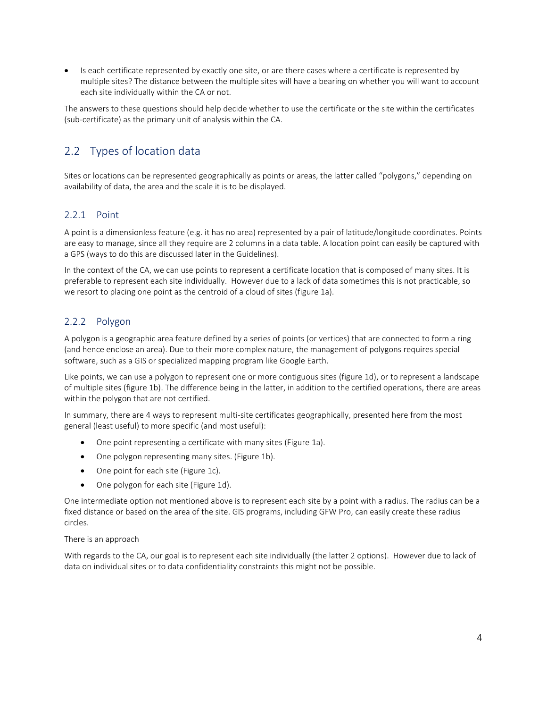Is each certificate represented by exactly one site, or are there cases where a certificate is represented by multiple sites? The distance between the multiple sites will have a bearing on whether you will want to account each site individually within the CA or not.

The answers to these questions should help decide whether to use the certificate or the site within the certificates (sub-certificate) as the primary unit of analysis within the CA.

# <span id="page-3-0"></span>2.2 Types of location data

Sites or locations can be represented geographically as points or areas, the latter called "polygons," depending on availability of data, the area and the scale it is to be displayed.

#### <span id="page-3-1"></span>2.2.1 Point

A point is a dimensionless feature (e.g. it has no area) represented by a pair of latitude/longitude coordinates. Points are easy to manage, since all they require are 2 columns in a data table. A location point can easily be captured with a GPS (ways to do this are discussed later in the Guidelines).

In the context of the CA, we can use points to represent a certificate location that is composed of many sites. It is preferable to represent each site individually. However due to a lack of data sometimes this is not practicable, so we resort to placing one point as the centroid of a cloud of sites (figure 1a).

#### <span id="page-3-2"></span>2.2.2 Polygon

A polygon is a geographic area feature defined by a series of points (or vertices) that are connected to form a ring (and hence enclose an area). Due to their more complex nature, the management of polygons requires special software, such as a GIS or specialized mapping program like Google Earth.

Like points, we can use a polygon to represent one or more contiguous sites (figure 1d), or to represent a landscape of multiple sites (figure 1b). The difference being in the latter, in addition to the certified operations, there are areas within the polygon that are not certified.

In summary, there are 4 ways to represent multi-site certificates geographically, presented here from the most general (least useful) to more specific (and most useful):

- One point representing a certificate with many sites (Figure 1a).
- One polygon representing many sites. (Figure 1b).
- One point for each site (Figure 1c).
- One polygon for each site (Figure 1d).

One intermediate option not mentioned above is to represent each site by a point with a radius. The radius can be a fixed distance or based on the area of the site. GIS programs, including GFW Pro, can easily create these radius circles.

#### There is an approach

With regards to the CA, our goal is to represent each site individually (the latter 2 options). However due to lack of data on individual sites or to data confidentiality constraints this might not be possible.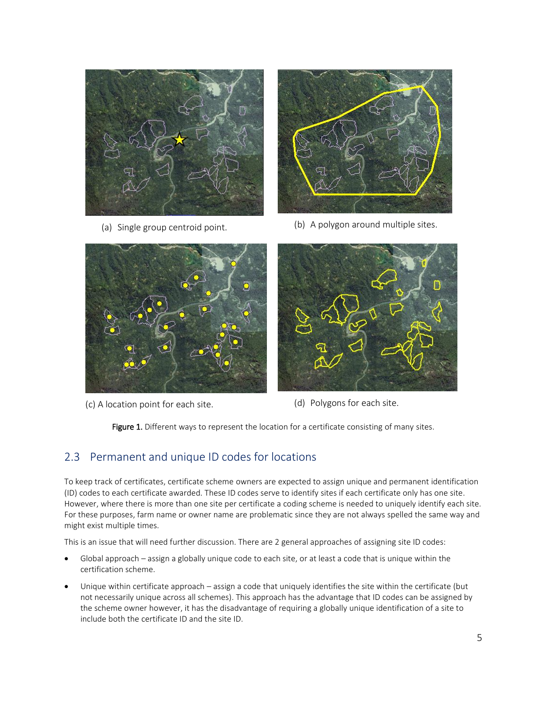

(a) Single group centroid point.



(b) A polygon around multiple sites.



(c) A location point for each site.



(d) Polygons for each site.

Figure 1. Different ways to represent the location for a certificate consisting of many sites.

## <span id="page-4-0"></span>2.3 Permanent and unique ID codes for locations

To keep track of certificates, certificate scheme owners are expected to assign unique and permanent identification (ID) codes to each certificate awarded. These ID codes serve to identify sites if each certificate only has one site. However, where there is more than one site per certificate a coding scheme is needed to uniquely identify each site. For these purposes, farm name or owner name are problematic since they are not always spelled the same way and might exist multiple times.

This is an issue that will need further discussion. There are 2 general approaches of assigning site ID codes:

- Global approach assign a globally unique code to each site, or at least a code that is unique within the certification scheme.
- Unique within certificate approach assign a code that uniquely identifies the site within the certificate (but not necessarily unique across all schemes). This approach has the advantage that ID codes can be assigned by the scheme owner however, it has the disadvantage of requiring a globally unique identification of a site to include both the certificate ID and the site ID.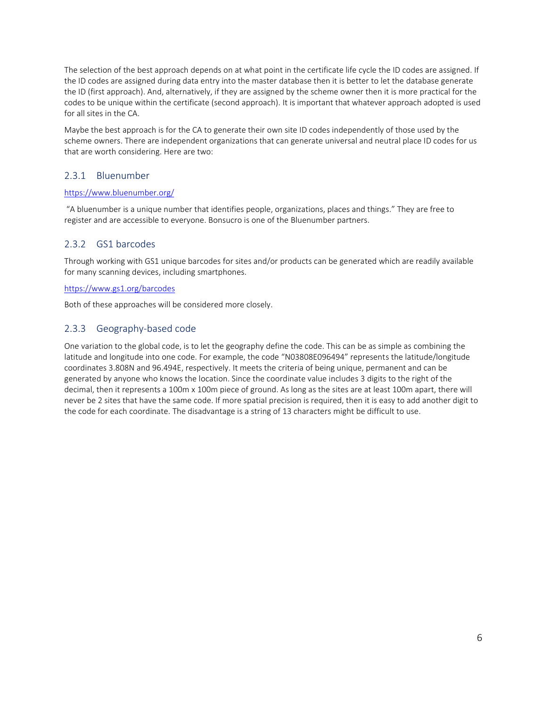The selection of the best approach depends on at what point in the certificate life cycle the ID codes are assigned. If the ID codes are assigned during data entry into the master database then it is better to let the database generate the ID (first approach). And, alternatively, if they are assigned by the scheme owner then it is more practical for the codes to be unique within the certificate (second approach). It is important that whatever approach adopted is used for all sites in the CA.

Maybe the best approach is for the CA to generate their own site ID codes independently of those used by the scheme owners. There are independent organizations that can generate universal and neutral place ID codes for us that are worth considering. Here are two:

#### <span id="page-5-0"></span>2.3.1 Bluenumber

#### <https://www.bluenumber.org/>

"A bluenumber is a unique number that identifies people, organizations, places and things." They are free to register and are accessible to everyone. Bonsucro is one of the Bluenumber partners.

#### <span id="page-5-1"></span>2.3.2 GS1 barcodes

Through working with GS1 unique barcodes for sites and/or products can be generated which are readily available for many scanning devices, including smartphones.

#### <https://www.gs1.org/barcodes>

Both of these approaches will be considered more closely.

#### <span id="page-5-2"></span>2.3.3 Geography-based code

One variation to the global code, is to let the geography define the code. This can be as simple as combining the latitude and longitude into one code. For example, the code "N03808E096494" represents the latitude/longitude coordinates 3.808N and 96.494E, respectively. It meets the criteria of being unique, permanent and can be generated by anyone who knows the location. Since the coordinate value includes 3 digits to the right of the decimal, then it represents a 100m x 100m piece of ground. As long as the sites are at least 100m apart, there will never be 2 sites that have the same code. If more spatial precision is required, then it is easy to add another digit to the code for each coordinate. The disadvantage is a string of 13 characters might be difficult to use.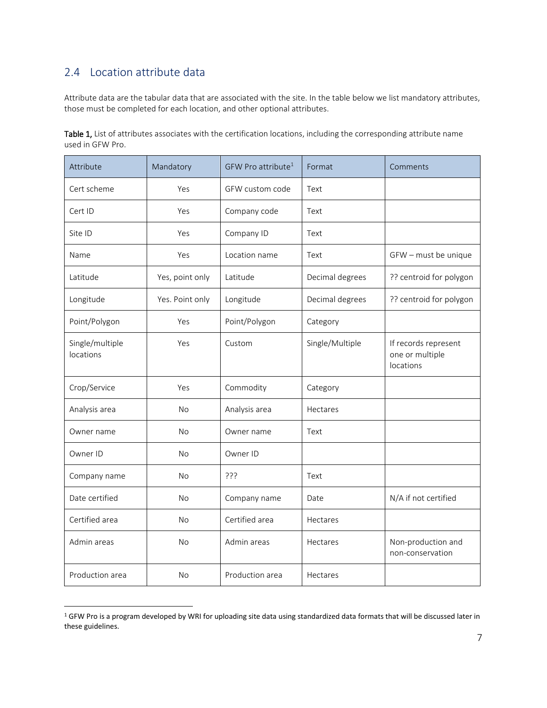# <span id="page-6-0"></span>2.4 Location attribute data

 $\overline{a}$ 

Attribute data are the tabular data that are associated with the site. In the table below we list mandatory attributes, those must be completed for each location, and other optional attributes.

Table 1, List of attributes associates with the certification locations, including the corresponding attribute name used in GFW Pro.

| Attribute                    | Mandatory       | GFW Pro attribute <sup>1</sup> | Format          | Comments                                             |
|------------------------------|-----------------|--------------------------------|-----------------|------------------------------------------------------|
| Cert scheme                  | Yes             | GFW custom code                | Text            |                                                      |
| Cert ID                      | Yes             | Company code                   | Text            |                                                      |
| Site ID                      | Yes             | Company ID                     | Text            |                                                      |
| Name                         | Yes             | Location name                  | Text            | GFW - must be unique                                 |
| Latitude                     | Yes, point only | Latitude                       | Decimal degrees | ?? centroid for polygon                              |
| Longitude                    | Yes. Point only | Longitude                      | Decimal degrees | ?? centroid for polygon                              |
| Point/Polygon                | Yes             | Point/Polygon                  | Category        |                                                      |
| Single/multiple<br>locations | Yes             | Custom                         | Single/Multiple | If records represent<br>one or multiple<br>locations |
| Crop/Service                 | Yes             | Commodity                      | Category        |                                                      |
| Analysis area                | <b>No</b>       | Analysis area                  | Hectares        |                                                      |
| Owner name                   | <b>No</b>       | Owner name                     | Text            |                                                      |
| Owner ID                     | <b>No</b>       | Owner ID                       |                 |                                                      |
| Company name                 | <b>No</b>       | ???                            | Text            |                                                      |
| Date certified               | <b>No</b>       | Company name                   | Date            | N/A if not certified                                 |
| Certified area               | No              | Certified area                 | Hectares        |                                                      |
| Admin areas                  | <b>No</b>       | Admin areas                    | Hectares        | Non-production and<br>non-conservation               |
| Production area              | <b>No</b>       | Production area                | Hectares        |                                                      |

<sup>1</sup> GFW Pro is a program developed by WRI for uploading site data using standardized data formats that will be discussed later in these guidelines.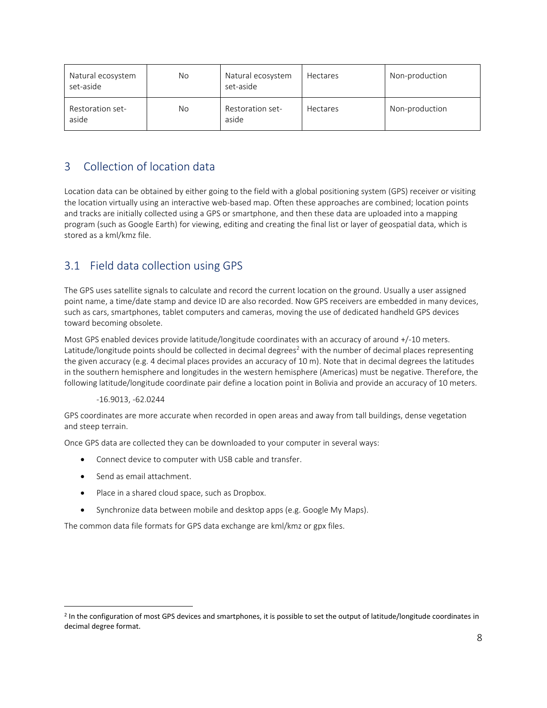| Natural ecosystem<br>set-aside | No  | Natural ecosystem<br>set-aside   | <b>Hectares</b> | Non-production |
|--------------------------------|-----|----------------------------------|-----------------|----------------|
| Restoration set-<br>aside      | No. | <b>Restoration set-</b><br>aside | <b>Hectares</b> | Non-production |

# <span id="page-7-0"></span>3 Collection of location data

Location data can be obtained by either going to the field with a global positioning system (GPS) receiver or visiting the location virtually using an interactive web-based map. Often these approaches are combined; location points and tracks are initially collected using a GPS or smartphone, and then these data are uploaded into a mapping program (such as Google Earth) for viewing, editing and creating the final list or layer of geospatial data, which is stored as a kml/kmz file.

# <span id="page-7-1"></span>3.1 Field data collection using GPS

The GPS uses satellite signals to calculate and record the current location on the ground. Usually a user assigned point name, a time/date stamp and device ID are also recorded. Now GPS receivers are embedded in many devices, such as cars, smartphones, tablet computers and cameras, moving the use of dedicated handheld GPS devices toward becoming obsolete.

Most GPS enabled devices provide latitude/longitude coordinates with an accuracy of around +/-10 meters. Latitude/longitude points should be collected in decimal degrees<sup>2</sup> with the number of decimal places representing the given accuracy (e.g. 4 decimal places provides an accuracy of 10 m). Note that in decimal degrees the latitudes in the southern hemisphere and longitudes in the western hemisphere (Americas) must be negative. Therefore, the following latitude/longitude coordinate pair define a location point in Bolivia and provide an accuracy of 10 meters.

#### -16.9013, -62.0244

GPS coordinates are more accurate when recorded in open areas and away from tall buildings, dense vegetation and steep terrain.

Once GPS data are collected they can be downloaded to your computer in several ways:

- Connect device to computer with USB cable and transfer.
- Send as email attachment.

 $\overline{a}$ 

- Place in a shared cloud space, such as Dropbox.
- Synchronize data between mobile and desktop apps (e.g. Google My Maps).

The common data file formats for GPS data exchange are kml/kmz or gpx files.

<sup>&</sup>lt;sup>2</sup> In the configuration of most GPS devices and smartphones, it is possible to set the output of latitude/longitude coordinates in decimal degree format.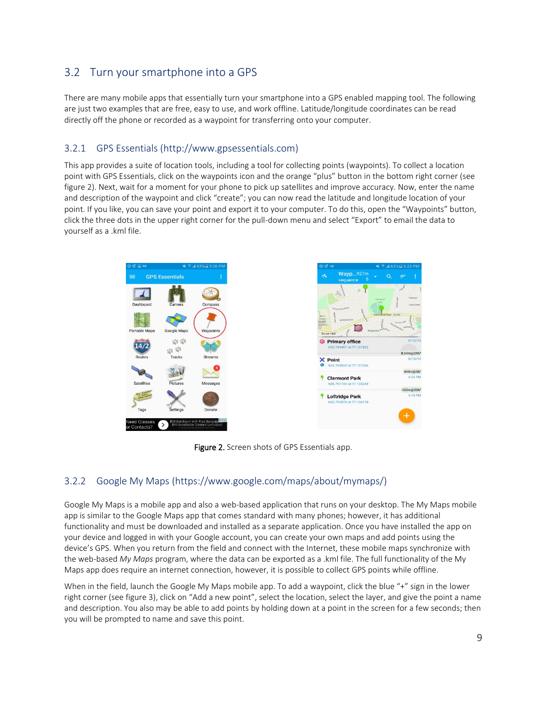# <span id="page-8-0"></span>3.2 Turn your smartphone into a GPS

There are many mobile apps that essentially turn your smartphone into a GPS enabled mapping tool. The following are just two examples that are free, easy to use, and work offline. Latitude/longitude coordinates can be read directly off the phone or recorded as a waypoint for transferring onto your computer.

#### <span id="page-8-1"></span>3.2.1 GPS Essentials [\(http://www.gpsessentials.com\)](http://www.gpsessentials.com/)

This app provides a suite of location tools, including a tool for collecting points (waypoints). To collect a location point with GPS Essentials, click on the waypoints icon and the orange "plus" button in the bottom right corner (see figure 2). Next, wait for a moment for your phone to pick up satellites and improve accuracy. Now, enter the name and description of the waypoint and click "create"; you can now read the latitude and longitude location of your point. If you like, you can save your point and export it to your computer. To do this, open the "Waypoints" button, click the three dots in the upper right corner for the pull-down menu and select "Export" to email the data to yourself as a .kml file.



Figure 2. Screen shots of GPS Essentials app.

#### <span id="page-8-2"></span>3.2.2 Google My Maps [\(https://www.google.com/maps/about/mymaps/\)](https://www.google.com/maps/about/mymaps/)

Google My Maps is a mobile app and also a web-based application that runs on your desktop. The My Maps mobile app is similar to the Google Maps app that comes standard with many phones; however, it has additional functionality and must be downloaded and installed as a separate application. Once you have installed the app on your device and logged in with your Google account, you can create your own maps and add points using the device's GPS. When you return from the field and connect with the Internet, these mobile maps synchronize with the web-based *My Maps* program, where the data can be exported as a .kml file. The full functionality of the My Maps app does require an internet connection, however, it is possible to collect GPS points while offline.

When in the field, launch the Google My Maps mobile app. To add a waypoint, click the blue "+" sign in the lower right corner (see figure 3), click on "Add a new point", select the location, select the layer, and give the point a name and description. You also may be able to add points by holding down at a point in the screen for a few seconds; then you will be prompted to name and save this point.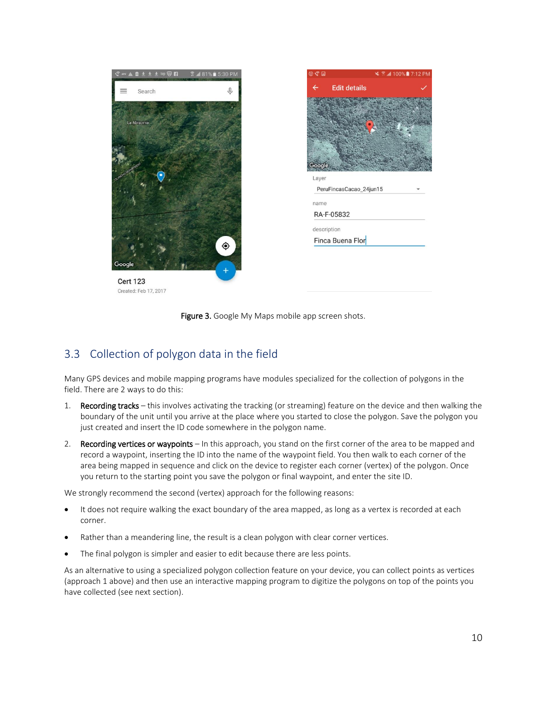

| @@@@        |                         | ¥ ? 4 100% 7:12 PM |
|-------------|-------------------------|--------------------|
|             | <b>Edit details</b>     |                    |
|             |                         |                    |
|             |                         |                    |
|             |                         |                    |
|             |                         |                    |
|             |                         |                    |
|             |                         |                    |
| Google      |                         |                    |
| Layer       |                         |                    |
|             | PeruFincasCacao_24jun15 |                    |
| name        |                         |                    |
|             | RA-F-05832              |                    |
| description |                         |                    |
|             | Finca Buena Flor        |                    |

**Cert 123** Created: Feb 17, 2017



## <span id="page-9-0"></span>3.3 Collection of polygon data in the field

Many GPS devices and mobile mapping programs have modules specialized for the collection of polygons in the field. There are 2 ways to do this:

- 1. Recording tracks this involves activating the tracking (or streaming) feature on the device and then walking the boundary of the unit until you arrive at the place where you started to close the polygon. Save the polygon you just created and insert the ID code somewhere in the polygon name.
- 2. Recording vertices or waypoints In this approach, you stand on the first corner of the area to be mapped and record a waypoint, inserting the ID into the name of the waypoint field. You then walk to each corner of the area being mapped in sequence and click on the device to register each corner (vertex) of the polygon. Once you return to the starting point you save the polygon or final waypoint, and enter the site ID.

We strongly recommend the second (vertex) approach for the following reasons:

- It does not require walking the exact boundary of the area mapped, as long as a vertex is recorded at each corner.
- Rather than a meandering line, the result is a clean polygon with clear corner vertices.
- The final polygon is simpler and easier to edit because there are less points.

As an alternative to using a specialized polygon collection feature on your device, you can collect points as vertices (approach 1 above) and then use an interactive mapping program to digitize the polygons on top of the points you have collected (see next section).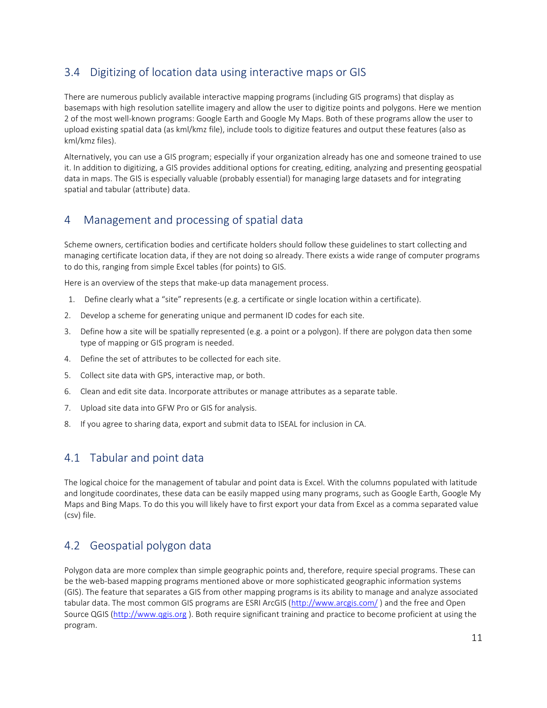# <span id="page-10-0"></span>3.4 Digitizing of location data using interactive maps or GIS

There are numerous publicly available interactive mapping programs (including GIS programs) that display as basemaps with high resolution satellite imagery and allow the user to digitize points and polygons. Here we mention 2 of the most well-known programs: Google Earth and Google My Maps. Both of these programs allow the user to upload existing spatial data (as kml/kmz file), include tools to digitize features and output these features (also as kml/kmz files).

Alternatively, you can use a GIS program; especially if your organization already has one and someone trained to use it. In addition to digitizing, a GIS provides additional options for creating, editing, analyzing and presenting geospatial data in maps. The GIS is especially valuable (probably essential) for managing large datasets and for integrating spatial and tabular (attribute) data.

# <span id="page-10-1"></span>4 Management and processing of spatial data

Scheme owners, certification bodies and certificate holders should follow these guidelines to start collecting and managing certificate location data, if they are not doing so already. There exists a wide range of computer programs to do this, ranging from simple Excel tables (for points) to GIS.

Here is an overview of the steps that make-up data management process.

- 1. Define clearly what a "site" represents (e.g. a certificate or single location within a certificate).
- 2. Develop a scheme for generating unique and permanent ID codes for each site.
- 3. Define how a site will be spatially represented (e.g. a point or a polygon). If there are polygon data then some type of mapping or GIS program is needed.
- 4. Define the set of attributes to be collected for each site.
- 5. Collect site data with GPS, interactive map, or both.
- 6. Clean and edit site data. Incorporate attributes or manage attributes as a separate table.
- 7. Upload site data into GFW Pro or GIS for analysis.
- 8. If you agree to sharing data, export and submit data to ISEAL for inclusion in CA.

## <span id="page-10-2"></span>4.1 Tabular and point data

The logical choice for the management of tabular and point data is Excel. With the columns populated with latitude and longitude coordinates, these data can be easily mapped using many programs, such as Google Earth, Google My Maps and Bing Maps. To do this you will likely have to first export your data from Excel as a comma separated value (csv) file.

## <span id="page-10-3"></span>4.2 Geospatial polygon data

Polygon data are more complex than simple geographic points and, therefore, require special programs. These can be the web-based mapping programs mentioned above or more sophisticated geographic information systems (GIS). The feature that separates a GIS from other mapping programs is its ability to manage and analyze associated tabular data. The most common GIS programs are ESRI ArcGIS [\(http://www.arcgis.com/](http://www.arcgis.com/) ) and the free and Open Source QGIS [\(http://www.qgis.org](http://www.qgis.org/) ). Both require significant training and practice to become proficient at using the program.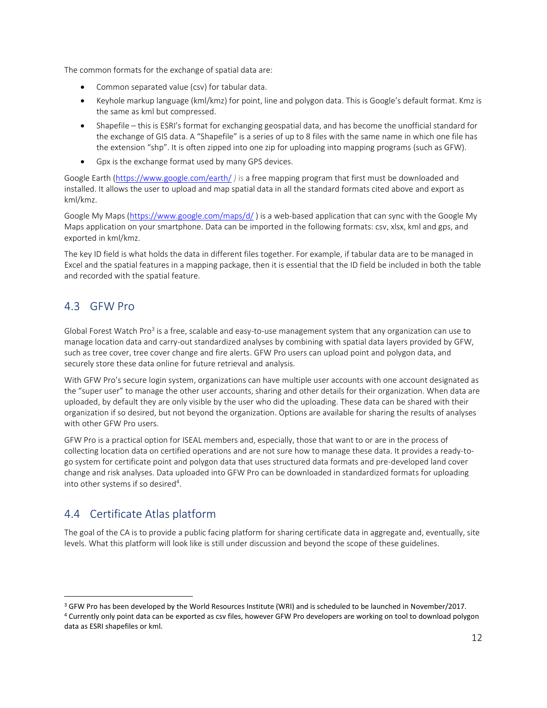The common formats for the exchange of spatial data are:

- Common separated value (csv) for tabular data.
- Keyhole markup language (kml/kmz) for point, line and polygon data. This is Google's default format. Kmz is the same as kml but compressed.
- Shapefile this is ESRI's format for exchanging geospatial data, and has become the unofficial standard for the exchange of GIS data. A "Shapefile" is a series of up to 8 files with the same name in which one file has the extension "shp". It is often zipped into one zip for uploading into mapping programs (such as GFW).
- Gpx is the exchange format used by many GPS devices.

Google Earth [\(https://www.google.com/earth/](https://www.google.com/earth/) *)* is a free mapping program that first must be downloaded and installed. It allows the user to upload and map spatial data in all the standard formats cited above and export as kml/kmz.

Google My Maps [\(https://www.google.com/maps/d/](https://www.google.com/maps/d/)) is a web-based application that can sync with the Google My Maps application on your smartphone. Data can be imported in the following formats: csv, xlsx, kml and gps, and exported in kml/kmz.

The key ID field is what holds the data in different files together. For example, if tabular data are to be managed in Excel and the spatial features in a mapping package, then it is essential that the ID field be included in both the table and recorded with the spatial feature.

## <span id="page-11-0"></span>4.3 GFW Pro

 $\overline{a}$ 

Global Forest Watch Pro<sup>3</sup> is a free, scalable and easy-to-use management system that any organization can use to manage location data and carry-out standardized analyses by combining with spatial data layers provided by GFW, such as tree cover, tree cover change and fire alerts. GFW Pro users can upload point and polygon data, and securely store these data online for future retrieval and analysis.

With GFW Pro's secure login system, organizations can have multiple user accounts with one account designated as the "super user" to manage the other user accounts, sharing and other details for their organization. When data are uploaded, by default they are only visible by the user who did the uploading. These data can be shared with their organization if so desired, but not beyond the organization. Options are available for sharing the results of analyses with other GFW Pro users.

GFW Pro is a practical option for ISEAL members and, especially, those that want to or are in the process of collecting location data on certified operations and are not sure how to manage these data. It provides a ready-togo system for certificate point and polygon data that uses structured data formats and pre-developed land cover change and risk analyses. Data uploaded into GFW Pro can be downloaded in standardized formats for uploading into other systems if so desired<sup>4</sup>.

# <span id="page-11-1"></span>4.4 Certificate Atlas platform

The goal of the CA is to provide a public facing platform for sharing certificate data in aggregate and, eventually, site levels. What this platform will look like is still under discussion and beyond the scope of these guidelines.

<sup>3</sup> GFW Pro has been developed by the World Resources Institute (WRI) and is scheduled to be launched in November/2017.

<sup>4</sup> Currently only point data can be exported as csv files, however GFW Pro developers are working on tool to download polygon data as ESRI shapefiles or kml.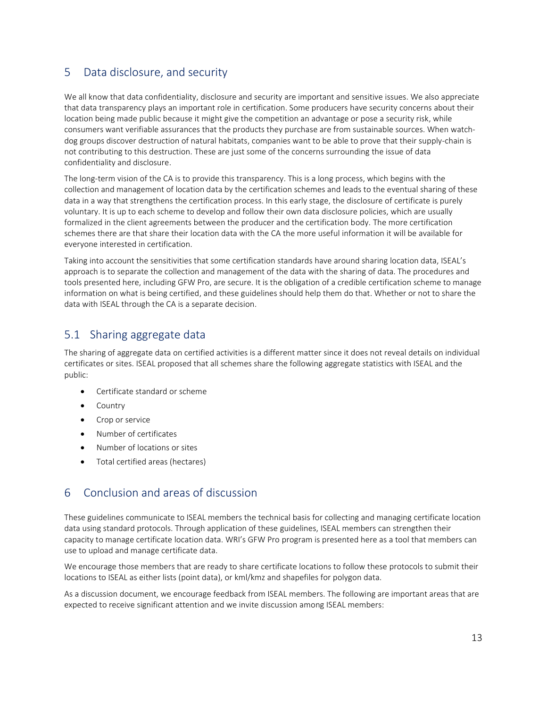## <span id="page-12-0"></span>5 Data disclosure, and security

We all know that data confidentiality, disclosure and security are important and sensitive issues. We also appreciate that data transparency plays an important role in certification. Some producers have security concerns about their location being made public because it might give the competition an advantage or pose a security risk, while consumers want verifiable assurances that the products they purchase are from sustainable sources. When watchdog groups discover destruction of natural habitats, companies want to be able to prove that their supply-chain is not contributing to this destruction. These are just some of the concerns surrounding the issue of data confidentiality and disclosure.

The long-term vision of the CA is to provide this transparency. This is a long process, which begins with the collection and management of location data by the certification schemes and leads to the eventual sharing of these data in a way that strengthens the certification process. In this early stage, the disclosure of certificate is purely voluntary. It is up to each scheme to develop and follow their own data disclosure policies, which are usually formalized in the client agreements between the producer and the certification body. The more certification schemes there are that share their location data with the CA the more useful information it will be available for everyone interested in certification.

Taking into account the sensitivities that some certification standards have around sharing location data, ISEAL's approach is to separate the collection and management of the data with the sharing of data. The procedures and tools presented here, including GFW Pro, are secure. It is the obligation of a credible certification scheme to manage information on what is being certified, and these guidelines should help them do that. Whether or not to share the data with ISEAL through the CA is a separate decision.

## <span id="page-12-1"></span>5.1 Sharing aggregate data

The sharing of aggregate data on certified activities is a different matter since it does not reveal details on individual certificates or sites. ISEAL proposed that all schemes share the following aggregate statistics with ISEAL and the public:

- Certificate standard or scheme
- Country
- **•** Crop or service
- Number of certificates
- Number of locations or sites
- Total certified areas (hectares)

## <span id="page-12-2"></span>6 Conclusion and areas of discussion

These guidelines communicate to ISEAL members the technical basis for collecting and managing certificate location data using standard protocols. Through application of these guidelines, ISEAL members can strengthen their capacity to manage certificate location data. WRI's GFW Pro program is presented here as a tool that members can use to upload and manage certificate data.

We encourage those members that are ready to share certificate locations to follow these protocols to submit their locations to ISEAL as either lists (point data), or kml/kmz and shapefiles for polygon data.

As a discussion document, we encourage feedback from ISEAL members. The following are important areas that are expected to receive significant attention and we invite discussion among ISEAL members: